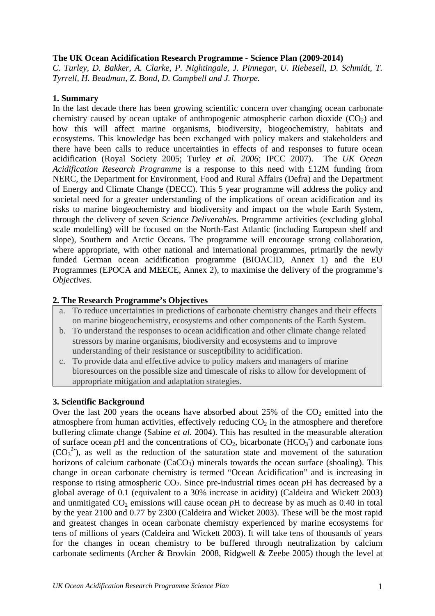#### **The UK Ocean Acidification Research Programme - Science Plan (2009-2014)**

*C. Turley, D. Bakker, A. Clarke, P. Nightingale, J. Pinnegar, U. Riebesell, D. Schmidt, T. Tyrrell, H. Beadman, Z. Bond, D. Campbell and J. Thorpe.* 

#### **1. Summary**

In the last decade there has been growing scientific concern over changing ocean carbonate chemistry caused by ocean uptake of anthropogenic atmospheric carbon dioxide  $(CO<sub>2</sub>)$  and how this will affect marine organisms, biodiversity, biogeochemistry, habitats and ecosystems. This knowledge has been exchanged with policy makers and stakeholders and there have been calls to reduce uncertainties in effects of and responses to future ocean acidification (Royal Society 2005; Turley *et al. 2006*; IPCC 2007). The *UK Ocean Acidification Research Programme* is a response to this need with £12M funding from NERC, the Department for Environment, Food and Rural Affairs (Defra) and the Department of Energy and Climate Change (DECC). This 5 year programme will address the policy and societal need for a greater understanding of the implications of ocean acidification and its risks to marine biogeochemistry and biodiversity and impact on the whole Earth System, through the delivery of seven *Science Deliverables.* Programme activities (excluding global scale modelling) will be focused on the North-East Atlantic (including European shelf and slope), Southern and Arctic Oceans. The programme will encourage strong collaboration, where appropriate, with other national and international programmes, primarily the newly funded German ocean acidification programme (BIOACID, Annex 1) and the EU Programmes (EPOCA and MEECE, Annex 2), to maximise the delivery of the programme's *Objectives*.

## **2. The Research Programme's Objectives**

- a. To reduce uncertainties in predictions of carbonate chemistry changes and their effects on marine biogeochemistry, ecosystems and other components of the Earth System.
- b. To understand the responses to ocean acidification and other climate change related stressors by marine organisms, biodiversity and ecosystems and to improve understanding of their resistance or susceptibility to acidification.
- c. To provide data and effective advice to policy makers and managers of marine bioresources on the possible size and timescale of risks to allow for development of appropriate mitigation and adaptation strategies.

## **3. Scientific Background**

Over the last 200 years the oceans have absorbed about  $25\%$  of the  $CO<sub>2</sub>$  emitted into the atmosphere from human activities, effectively reducing  $CO<sub>2</sub>$  in the atmosphere and therefore buffering climate change (Sabine *et al.* 2004). This has resulted in the measurable alteration of surface ocean  $p$ H and the concentrations of  $CO_2$ , bicarbonate (HCO<sub>3</sub><sup>-</sup>) and carbonate ions  $(CO_3^2)$ , as well as the reduction of the saturation state and movement of the saturation horizons of calcium carbonate  $(CaCO<sub>3</sub>)$  minerals towards the ocean surface (shoaling). This change in ocean carbonate chemistry is termed "Ocean Acidification" and is increasing in response to rising atmospheric  $CO<sub>2</sub>$ . Since pre-industrial times ocean  $pH$  has decreased by a global average of 0.1 (equivalent to a 30% increase in acidity) (Caldeira and Wickett 2003) and unmitigated  $CO<sub>2</sub>$  emissions will cause ocean  $pH$  to decrease by as much as 0.40 in total by the year 2100 and 0.77 by 2300 (Caldeira and Wicket 2003). These will be the most rapid and greatest changes in ocean carbonate chemistry experienced by marine ecosystems for tens of millions of years (Caldeira and Wickett 2003). It will take tens of thousands of years for the changes in ocean chemistry to be buffered through neutralization by calcium carbonate sediments (Archer & Brovkin 2008, Ridgwell & Zeebe 2005) though the level at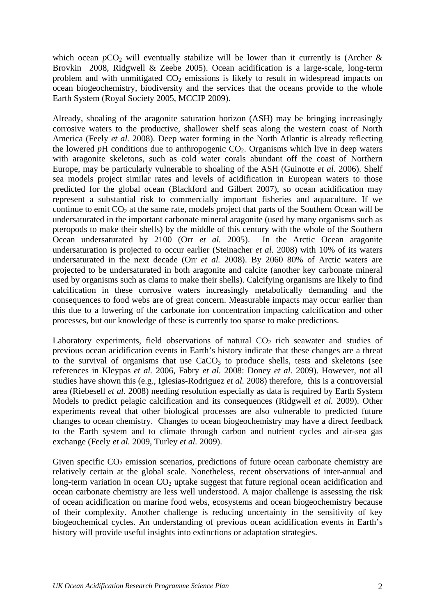which ocean  $pCO_2$  will eventually stabilize will be lower than it currently is (Archer & Brovkin 2008, Ridgwell & Zeebe 2005). Ocean acidification is a large-scale, long-term problem and with unmitigated  $CO<sub>2</sub>$  emissions is likely to result in widespread impacts on ocean biogeochemistry, biodiversity and the services that the oceans provide to the whole Earth System (Royal Society 2005, MCCIP 2009).

Already, shoaling of the aragonite saturation horizon (ASH) may be bringing increasingly corrosive waters to the productive, shallower shelf seas along the western coast of North America (Feely *et al.* 2008). Deep water forming in the North Atlantic is already reflecting the lowered  $pH$  conditions due to anthropogenic  $CO<sub>2</sub>$ . Organisms which live in deep waters with aragonite skeletons, such as cold water corals abundant off the coast of Northern Europe, may be particularly vulnerable to shoaling of the ASH (Guinotte *et al*. 2006). Shelf sea models project similar rates and levels of acidification in European waters to those predicted for the global ocean (Blackford and Gilbert 2007), so ocean acidification may represent a substantial risk to commercially important fisheries and aquaculture. If we continue to emit  $CO<sub>2</sub>$  at the same rate, models project that parts of the Southern Ocean will be undersaturated in the important carbonate mineral aragonite (used by many organisms such as pteropods to make their shells) by the middle of this century with the whole of the Southern Ocean undersaturated by 2100 (Orr *et al.* 2005). In the Arctic Ocean aragonite undersaturation is projected to occur earlier (Steinacher *et al.* 2008) with 10% of its waters undersaturated in the next decade (Orr *et al.* 2008). By 2060 80% of Arctic waters are projected to be undersaturated in both aragonite and calcite (another key carbonate mineral used by organisms such as clams to make their shells). Calcifying organisms are likely to find calcification in these corrosive waters increasingly metabolically demanding and the consequences to food webs are of great concern. Measurable impacts may occur earlier than this due to a lowering of the carbonate ion concentration impacting calcification and other processes, but our knowledge of these is currently too sparse to make predictions.

Laboratory experiments, field observations of natural  $CO<sub>2</sub>$  rich seawater and studies of previous ocean acidification events in Earth's history indicate that these changes are a threat to the survival of organisms that use  $CaCO<sub>3</sub>$  to produce shells, tests and skeletons (see references in Kleypas *et al.* 2006, Fabry *et al.* 2008: Doney *et al.* 2009). However, not all studies have shown this (e.g., Iglesias-Rodriguez *et al.* 2008) therefore, this is a controversial area (Riebesell *et al.* 2008) needing resolution especially as data is required by Earth System Models to predict pelagic calcification and its consequences (Ridgwell *et al.* 2009). Other experiments reveal that other biological processes are also vulnerable to predicted future changes to ocean chemistry. Changes to ocean biogeochemistry may have a direct feedback to the Earth system and to climate through carbon and nutrient cycles and air-sea gas exchange (Feely *et al.* 2009, Turley *et al.* 2009).

Given specific  $CO<sub>2</sub>$  emission scenarios, predictions of future ocean carbonate chemistry are relatively certain at the global scale. Nonetheless, recent observations of inter-annual and long-term variation in ocean  $CO<sub>2</sub>$  uptake suggest that future regional ocean acidification and ocean carbonate chemistry are less well understood. A major challenge is assessing the risk of ocean acidification on marine food webs, ecosystems and ocean biogeochemistry because of their complexity. Another challenge is reducing uncertainty in the sensitivity of key biogeochemical cycles. An understanding of previous ocean acidification events in Earth's history will provide useful insights into extinctions or adaptation strategies.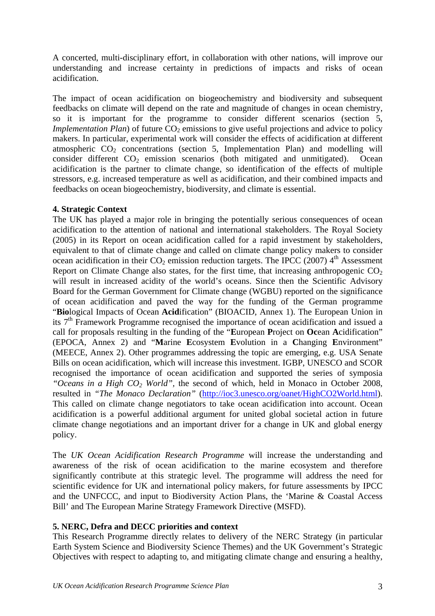A concerted, multi-disciplinary effort, in collaboration with other nations, will improve our understanding and increase certainty in predictions of impacts and risks of ocean acidification.

The impact of ocean acidification on biogeochemistry and biodiversity and subsequent feedbacks on climate will depend on the rate and magnitude of changes in ocean chemistry, so it is important for the programme to consider different scenarios (section 5, *Implementation Plan*) of future  $CO<sub>2</sub>$  emissions to give useful projections and advice to policy makers. In particular, experimental work will consider the effects of acidification at different atmospheric  $CO<sub>2</sub>$  concentrations (section 5, Implementation Plan) and modelling will consider different  $CO<sub>2</sub>$  emission scenarios (both mitigated and unmitigated). Ocean acidification is the partner to climate change, so identification of the effects of multiple stressors, e.g. increased temperature as well as acidification, and their combined impacts and feedbacks on ocean biogeochemistry, biodiversity, and climate is essential.

## **4. Strategic Context**

The UK has played a major role in bringing the potentially serious consequences of ocean acidification to the attention of national and international stakeholders. The Royal Society (2005) in its Report on ocean acidification called for a rapid investment by stakeholders, equivalent to that of climate change and called on climate change policy makers to consider ocean acidification in their  $CO<sub>2</sub>$  emission reduction targets. The IPCC (2007)  $4<sup>th</sup>$  Assessment Report on Climate Change also states, for the first time, that increasing anthropogenic  $CO<sub>2</sub>$ will result in increased acidity of the world's oceans. Since then the Scientific Advisory Board for the German Government for Climate change (WGBU) reported on the significance of ocean acidification and paved the way for the funding of the German programme "**Bio**logical Impacts of Ocean **Acid**ification" (BIOACID, Annex 1). The European Union in its 7<sup>th</sup> Framework Programme recognised the importance of ocean acidification and issued a call for proposals resulting in the funding of the "**E**uropean **P**roject on **Oc**ean **A**cidification" (EPOCA, Annex 2) and "**M**arine **E**cosystem **E**volution in a **C**hanging **E**nvironment" (MEECE, Annex 2). Other programmes addressing the topic are emerging, e.g. USA Senate Bills on ocean acidification, which will increase this investment. IGBP, UNESCO and SCOR recognised the importance of ocean acidification and supported the series of symposia *"Oceans in a High CO2 World",* the second of which, held in Monaco in October 2008, resulted in *"The Monaco Declaration"* (<http://ioc3.unesco.org/oanet/HighCO2World.html>). This called on climate change negotiators to take ocean acidification into account. Ocean acidification is a powerful additional argument for united global societal action in future climate change negotiations and an important driver for a change in UK and global energy policy.

The *UK Ocean Acidification Research Programme* will increase the understanding and awareness of the risk of ocean acidification to the marine ecosystem and therefore significantly contribute at this strategic level. The programme will address the need for scientific evidence for UK and international policy makers, for future assessments by IPCC and the UNFCCC, and input to Biodiversity Action Plans, the 'Marine & Coastal Access Bill' and The European Marine Strategy Framework Directive (MSFD).

# **5. NERC, Defra and DECC priorities and context**

This Research Programme directly relates to delivery of the NERC Strategy (in particular Earth System Science and Biodiversity Science Themes) and the UK Government's Strategic Objectives with respect to adapting to, and mitigating climate change and ensuring a healthy,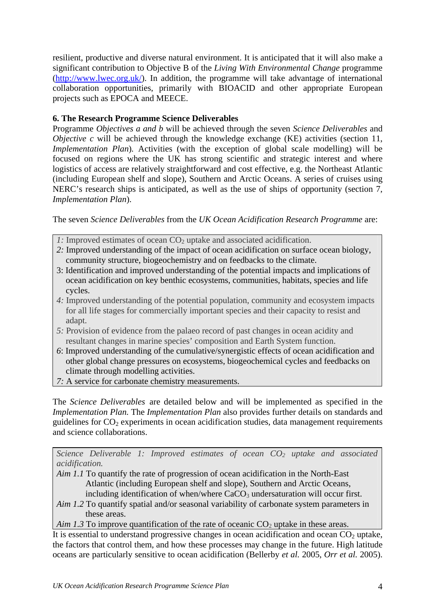resilient, productive and diverse natural environment. It is anticipated that it will also make a significant contribution to Objective B of the *Living With Environmental Change* programme ([http://www.lwec.org.uk/\)](http://www.lwec.org.uk/). In addition, the programme will take advantage of international collaboration opportunities, primarily with BIOACID and other appropriate European projects such as EPOCA and MEECE.

# **6. The Research Programme Science Deliverables**

Programme *Objectives a and b* will be achieved through the seven *Science Deliverables* and *Objective c* will be achieved through the knowledge exchange (KE) activities (section 11, *Implementation Plan*). Activities (with the exception of global scale modelling) will be focused on regions where the UK has strong scientific and strategic interest and where logistics of access are relatively straightforward and cost effective, e.g. the Northeast Atlantic (including European shelf and slope), Southern and Arctic Oceans. A series of cruises using NERC's research ships is anticipated, as well as the use of ships of opportunity (section 7, *Implementation Plan*).

The seven *Science Deliverables* from the *UK Ocean Acidification Research Programme* are:

- *1*: Improved estimates of ocean CO<sub>2</sub> uptake and associated acidification.
- *2:* Improved understanding of the impact of ocean acidification on surface ocean biology, community structure, biogeochemistry and on feedbacks to the climate.
- 3: Identification and improved understanding of the potential impacts and implications of ocean acidification on key benthic ecosystems, communities, habitats, species and life cycles.
- *4:* Improved understanding of the potential population, community and ecosystem impacts for all life stages for commercially important species and their capacity to resist and adapt.
- *5:* Provision of evidence from the palaeo record of past changes in ocean acidity and resultant changes in marine species' composition and Earth System function.
- *6*: Improved understanding of the cumulative/synergistic effects of ocean acidification and other global change pressures on ecosystems, biogeochemical cycles and feedbacks on climate through modelling activities.
- *7:* A service for carbonate chemistry measurements.

The *Science Deliverables* are detailed below and will be implemented as specified in the *Implementation Plan.* The *Implementation Plan* also provides further details on standards and guidelines for  $CO<sub>2</sub>$  experiments in ocean acidification studies, data management requirements and science collaborations.

*Science Deliverable 1: Improved estimates of ocean CO<sub>2</sub> uptake and associated acidification.* 

- *Aim 1.1* To quantify the rate of progression of ocean acidification in the North-East Atlantic (including European shelf and slope), Southern and Arctic Oceans, including identification of when/where  $CaCO<sub>3</sub>$  undersaturation will occur first.
- *Aim 1.2* To quantify spatial and/or seasonal variability of carbonate system parameters in these areas.
- *Aim 1.3* To improve quantification of the rate of oceanic  $CO_2$  uptake in these areas.

It is essential to understand progressive changes in ocean acidification and ocean  $CO<sub>2</sub>$  uptake, the factors that control them, and how these processes may change in the future. High latitude oceans are particularly sensitive to ocean acidification (Bellerby *et al.* 2005, *Orr et al.* 2005).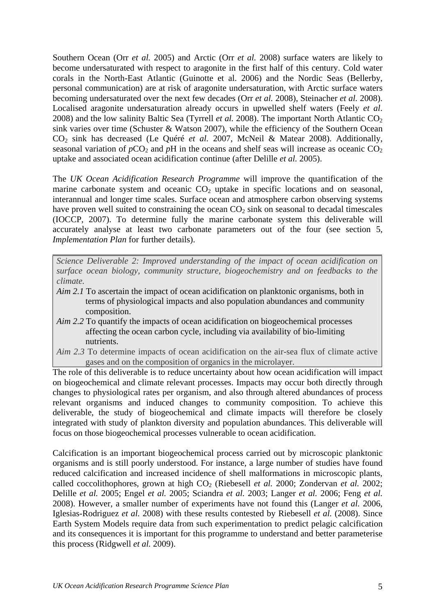Southern Ocean (Orr *et al.* 2005) and Arctic (Orr *et al.* 2008) surface waters are likely to become undersaturated with respect to aragonite in the first half of this century. Cold water corals in the North-East Atlantic (Guinotte et al. 2006) and the Nordic Seas (Bellerby, personal communication) are at risk of aragonite undersaturation, with Arctic surface waters becoming undersaturated over the next few decades (Orr *et al.* 2008), Steinacher *et al.* 2008). Localised aragonite undersaturation already occurs in upwelled shelf waters (Feely *et al*. 2008) and the low salinity Baltic Sea (Tyrrell *et al.* 2008). The important North Atlantic  $CO<sub>2</sub>$ sink varies over time (Schuster & Watson 2007), while the efficiency of the Southern Ocean CO2 sink has decreased (Le Quéré *et al.* 2007, McNeil & Matear 2008). Additionally, seasonal variation of  $pCO_2$  and  $pH$  in the oceans and shelf seas will increase as oceanic  $CO_2$ uptake and associated ocean acidification continue (after Delille *et al.* 2005).

The *UK Ocean Acidification Research Programme* will improve the quantification of the marine carbonate system and oceanic  $CO<sub>2</sub>$  uptake in specific locations and on seasonal, interannual and longer time scales. Surface ocean and atmosphere carbon observing systems have proven well suited to constraining the ocean  $CO<sub>2</sub>$  sink on seasonal to decadal timescales (IOCCP, 2007). To determine fully the marine carbonate system this deliverable will accurately analyse at least two carbonate parameters out of the four (see section 5, *Implementation Plan* for further details).

*Science Deliverable 2: Improved understanding of the impact of ocean acidification on surface ocean biology, community structure, biogeochemistry and on feedbacks to the climate.* 

- *Aim 2.1* To ascertain the impact of ocean acidification on planktonic organisms, both in terms of physiological impacts and also population abundances and community composition.
- *Aim 2.2* To quantify the impacts of ocean acidification on biogeochemical processes affecting the ocean carbon cycle, including via availability of bio-limiting nutrients.
- *Aim 2.3* To determine impacts of ocean acidification on the air-sea flux of climate active gases and on the composition of organics in the microlayer.

The role of this deliverable is to reduce uncertainty about how ocean acidification will impact on biogeochemical and climate relevant processes. Impacts may occur both directly through changes to physiological rates per organism, and also through altered abundances of process relevant organisms and induced changes to community composition. To achieve this deliverable, the study of biogeochemical and climate impacts will therefore be closely integrated with study of plankton diversity and population abundances. This deliverable will focus on those biogeochemical processes vulnerable to ocean acidification.

Calcification is an important biogeochemical process carried out by microscopic planktonic organisms and is still poorly understood. For instance, a large number of studies have found reduced calcification and increased incidence of shell malformations in microscopic plants, called coccolithophores, grown at high CO<sub>2</sub> (Riebesell *et al.* 2000; Zondervan *et al.* 2002; Delille *et al.* 2005; Engel *et al.* 2005; Sciandra *et al.* 2003; Langer *et al.* 2006; Feng *et al.* 2008). However, a smaller number of experiments have not found this (Langer *et al.* 2006, Iglesias-Rodriguez *et al.* 2008) with these results contested by Riebesell *et al.* (2008). Since Earth System Models require data from such experimentation to predict pelagic calcification and its consequences it is important for this programme to understand and better parameterise this process (Ridgwell *et al.* 2009).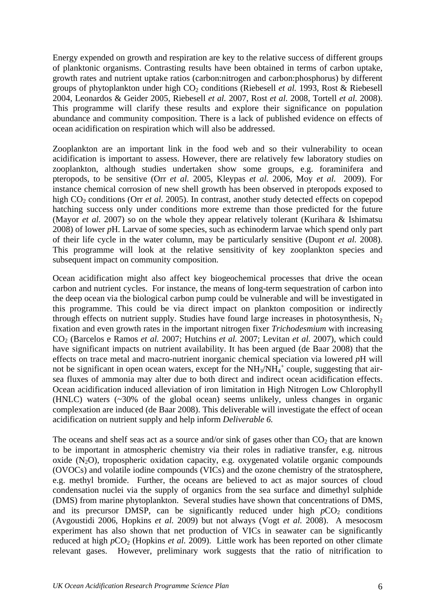Energy expended on growth and respiration are key to the relative success of different groups of planktonic organisms. Contrasting results have been obtained in terms of carbon uptake, growth rates and nutrient uptake ratios (carbon:nitrogen and carbon:phosphorus) by different groups of phytoplankton under high CO<sub>2</sub> conditions (Riebesell *et al.* 1993, Rost & Riebesell 2004, Leonardos & Geider 2005, Riebesell *et al.* 2007, Rost *et al.* 2008, Tortell *et al.* 2008). This programme will clarify these results and explore their significance on population abundance and community composition. There is a lack of published evidence on effects of ocean acidification on respiration which will also be addressed.

Zooplankton are an important link in the food web and so their vulnerability to ocean acidification is important to assess. However, there are relatively few laboratory studies on zooplankton, although studies undertaken show some groups, e.g. foraminifera and pteropods, to be sensitive (Orr *et al.* 2005, Kleypas *et al.* 2006, Moy *et al.* 2009). For instance chemical corrosion of new shell growth has been observed in pteropods exposed to high CO<sub>2</sub> conditions (Orr *et al.* 2005). In contrast, another study detected effects on copepod hatching success only under conditions more extreme than those predicted for the future (Mayor *et al.* 2007) so on the whole they appear relatively tolerant (Kurihara & Ishimatsu 2008) of lower *p*H. Larvae of some species, such as echinoderm larvae which spend only part of their life cycle in the water column, may be particularly sensitive (Dupont *et al.* 2008). This programme will look at the relative sensitivity of key zooplankton species and subsequent impact on community composition.

Ocean acidification might also affect key biogeochemical processes that drive the ocean carbon and nutrient cycles. For instance, the means of long-term sequestration of carbon into the deep ocean via the biological carbon pump could be vulnerable and will be investigated in this programme. This could be via direct impact on plankton composition or indirectly through effects on nutrient supply. Studies have found large increases in photosynthesis,  $N_2$ fixation and even growth rates in the important nitrogen fixer *Trichodesmium* with increasing CO2 (Barcelos e Ramos *et al.* 2007; Hutchins *et al.* 2007; Levitan *et al.* 2007), which could have significant impacts on nutrient availability. It has been argued (de Baar 2008) that the effects on trace metal and macro-nutrient inorganic chemical speciation via lowered *p*H will not be significant in open ocean waters, except for the  $NH_3/NH_4^+$  couple, suggesting that airsea fluxes of ammonia may alter due to both direct and indirect ocean acidification effects. Ocean acidification induced alleviation of iron limitation in High Nitrogen Low Chlorophyll (HNLC) waters (~30% of the global ocean) seems unlikely, unless changes in organic complexation are induced (de Baar 2008). This deliverable will investigate the effect of ocean acidification on nutrient supply and help inform *Deliverable 6.*

The oceans and shelf seas act as a source and/or sink of gases other than  $CO<sub>2</sub>$  that are known to be important in atmospheric chemistry via their roles in radiative transfer, e.g. nitrous oxide  $(N<sub>2</sub>O)$ , tropospheric oxidation capacity, e.g. oxygenated volatile organic compounds (OVOCs) and volatile iodine compounds (VICs) and the ozone chemistry of the stratosphere, e.g. methyl bromide. Further, the oceans are believed to act as major sources of cloud condensation nuclei via the supply of organics from the sea surface and dimethyl sulphide (DMS) from marine phytoplankton. Several studies have shown that concentrations of DMS, and its precursor DMSP, can be significantly reduced under high  $pCO<sub>2</sub>$  conditions (Avgoustidi 2006, Hopkins *et al.* 2009) but not always (Vogt *et al.* 2008). A mesocosm experiment has also shown that net production of VICs in seawater can be significantly reduced at high *pCO*<sub>2</sub> (Hopkins *et al.* 2009). Little work has been reported on other climate relevant gases. However, preliminary work suggests that the ratio of nitrification to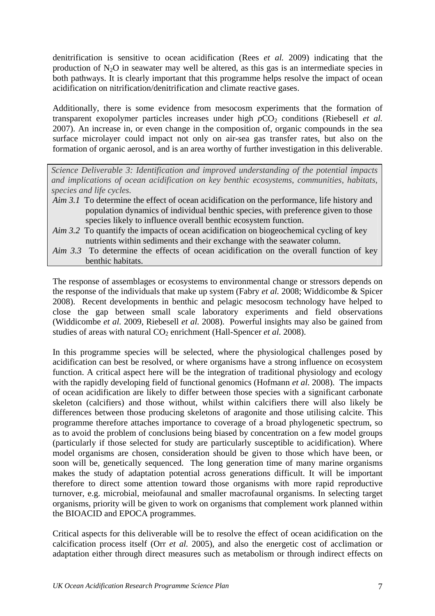denitrification is sensitive to ocean acidification (Rees *et al.* 2009) indicating that the production of  $N_2O$  in seawater may well be altered, as this gas is an intermediate species in both pathways. It is clearly important that this programme helps resolve the impact of ocean acidification on nitrification/denitrification and climate reactive gases.

Additionally, there is some evidence from mesocosm experiments that the formation of transparent exopolymer particles increases under high  $pCO<sub>2</sub>$  conditions (Riebesell *et al.*) 2007). An increase in, or even change in the composition of, organic compounds in the sea surface microlayer could impact not only on air-sea gas transfer rates, but also on the formation of organic aerosol, and is an area worthy of further investigation in this deliverable.

*Science Deliverable 3: Identification and improved understanding of the potential impacts and implications of ocean acidification on key benthic ecosystems, communities, habitats, species and life cycles.* 

- *Aim 3.1* To determine the effect of ocean acidification on the performance, life history and population dynamics of individual benthic species, with preference given to those species likely to influence overall benthic ecosystem function.
- *Aim 3.2* To quantify the impacts of ocean acidification on biogeochemical cycling of key nutrients within sediments and their exchange with the seawater column.
- *Aim 3.3* To determine the effects of ocean acidification on the overall function of key benthic habitats.

The response of assemblages or ecosystems to environmental change or stressors depends on the response of the individuals that make up system (Fabry *et al.* 2008; Widdicombe & Spicer 2008). Recent developments in benthic and pelagic mesocosm technology have helped to close the gap between small scale laboratory experiments and field observations (Widdicombe *et al.* 2009, Riebesell *et al.* 2008). Powerful insights may also be gained from studies of areas with natural CO<sub>2</sub> enrichment (Hall-Spencer *et al.* 2008).

In this programme species will be selected, where the physiological challenges posed by acidification can best be resolved, or where organisms have a strong influence on ecosystem function. A critical aspect here will be the integration of traditional physiology and ecology with the rapidly developing field of functional genomics (Hofmann *et al.* 2008). The impacts of ocean acidification are likely to differ between those species with a significant carbonate skeleton (calcifiers) and those without, whilst within calcifiers there will also likely be differences between those producing skeletons of aragonite and those utilising calcite. This programme therefore attaches importance to coverage of a broad phylogenetic spectrum, so as to avoid the problem of conclusions being biased by concentration on a few model groups (particularly if those selected for study are particularly susceptible to acidification). Where model organisms are chosen, consideration should be given to those which have been, or soon will be, genetically sequenced. The long generation time of many marine organisms makes the study of adaptation potential across generations difficult. It will be important therefore to direct some attention toward those organisms with more rapid reproductive turnover, e.g. microbial, meiofaunal and smaller macrofaunal organisms. In selecting target organisms, priority will be given to work on organisms that complement work planned within the BIOACID and EPOCA programmes.

Critical aspects for this deliverable will be to resolve the effect of ocean acidification on the calcification process itself (Orr *et al.* 2005), and also the energetic cost of acclimation or adaptation either through direct measures such as metabolism or through indirect effects on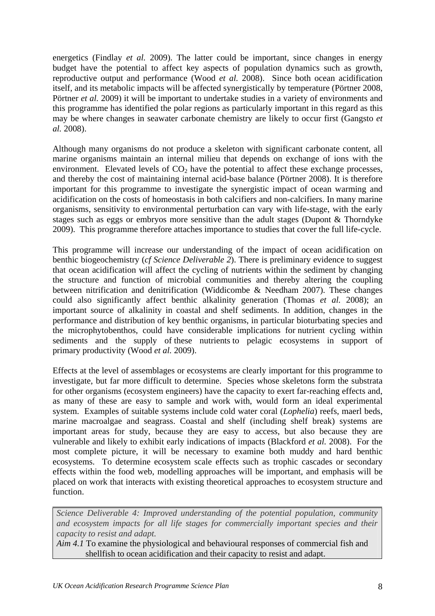energetics (Findlay *et al.* 2009). The latter could be important, since changes in energy budget have the potential to affect key aspects of population dynamics such as growth, reproductive output and performance (Wood *et al.* 2008). Since both ocean acidification itself, and its metabolic impacts will be affected synergistically by temperature (Pörtner 2008, Pörtner *et al.* 2009) it will be important to undertake studies in a variety of environments and this programme has identified the polar regions as particularly important in this regard as this may be where changes in seawater carbonate chemistry are likely to occur first (Gangsto *et al.* 2008).

Although many organisms do not produce a skeleton with significant carbonate content, all marine organisms maintain an internal milieu that depends on exchange of ions with the environment. Elevated levels of  $CO<sub>2</sub>$  have the potential to affect these exchange processes, and thereby the cost of maintaining internal acid-base balance (Pörtner 2008). It is therefore important for this programme to investigate the synergistic impact of ocean warming and acidification on the costs of homeostasis in both calcifiers and non-calcifiers. In many marine organisms, sensitivity to environmental perturbation can vary with life-stage, with the early stages such as eggs or embryos more sensitive than the adult stages (Dupont & Thorndyke 2009). This programme therefore attaches importance to studies that cover the full life-cycle.

This programme will increase our understanding of the impact of ocean acidification on benthic biogeochemistry (*cf Science Deliverable 2*). There is preliminary evidence to suggest that ocean acidification will affect the cycling of nutrients within the sediment by changing the structure and function of microbial communities and thereby altering the coupling between nitrification and denitrification (Widdicombe & Needham 2007). These changes could also significantly affect benthic alkalinity generation (Thomas *et al.* 2008); an important source of alkalinity in coastal and shelf sediments. In addition, changes in the performance and distribution of key benthic organisms, in particular bioturbating species and the microphytobenthos, could have considerable implications for nutrient cycling within sediments and the supply of these nutrients to pelagic ecosystems in support of primary productivity (Wood *et al.* 2009).

Effects at the level of assemblages or ecosystems are clearly important for this programme to investigate, but far more difficult to determine. Species whose skeletons form the substrata for other organisms (ecosystem engineers) have the capacity to exert far-reaching effects and, as many of these are easy to sample and work with, would form an ideal experimental system. Examples of suitable systems include cold water coral (*Lophelia*) reefs, maerl beds, marine macroalgae and seagrass. Coastal and shelf (including shelf break) systems are important areas for study, because they are easy to access, but also because they are vulnerable and likely to exhibit early indications of impacts (Blackford *et al.* 2008). For the most complete picture, it will be necessary to examine both muddy and hard benthic ecosystems. To determine ecosystem scale effects such as trophic cascades or secondary effects within the food web, modelling approaches will be important, and emphasis will be placed on work that interacts with existing theoretical approaches to ecosystem structure and function.

*Science Deliverable 4: Improved understanding of the potential population, community and ecosystem impacts for all life stages for commercially important species and their capacity to resist and adapt.* 

*Aim 4.1* To examine the physiological and behavioural responses of commercial fish and shellfish to ocean acidification and their capacity to resist and adapt.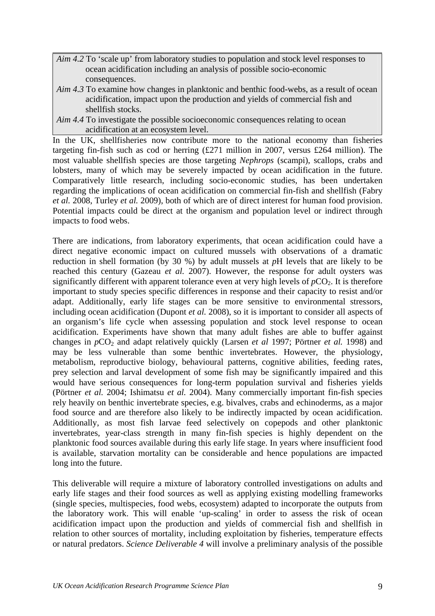- *Aim 4.2* To 'scale up' from laboratory studies to population and stock level responses to ocean acidification including an analysis of possible socio-economic consequences.
- *Aim 4.3* To examine how changes in planktonic and benthic food-webs, as a result of ocean acidification, impact upon the production and yields of commercial fish and shellfish stocks.
- *Aim 4.4* To investigate the possible socioeconomic consequences relating to ocean acidification at an ecosystem level.

In the UK, shellfisheries now contribute more to the national economy than fisheries targeting fin-fish such as cod or herring  $(\text{\pounds}271 \text{ million in } 2007, \text{ versus } \text{\pounds}264 \text{ million}).$  The most valuable shellfish species are those targeting *Nephrops* (scampi), scallops, crabs and lobsters, many of which may be severely impacted by ocean acidification in the future. Comparatively little research, including socio-economic studies, has been undertaken regarding the implications of ocean acidification on commercial fin-fish and shellfish (Fabry *et al.* 2008, Turley *et al.* 2009), both of which are of direct interest for human food provision. Potential impacts could be direct at the organism and population level or indirect through impacts to food webs.

There are indications, from laboratory experiments, that ocean acidification could have a direct negative economic impact on cultured mussels with observations of a dramatic reduction in shell formation (by 30 %) by adult mussels at *p*H levels that are likely to be reached this century (Gazeau *et al.* 2007). However, the response for adult oysters was significantly different with apparent tolerance even at very high levels of  $pCO<sub>2</sub>$ . It is therefore important to study species specific differences in response and their capacity to resist and/or adapt. Additionally, early life stages can be more sensitive to environmental stressors, including ocean acidification (Dupont *et al.* 2008), so it is important to consider all aspects of an organism's life cycle when assessing population and stock level response to ocean acidification. Experiments have shown that many adult fishes are able to buffer against changes in  $pCO_2$  and adapt relatively quickly (Larsen *et al* 1997; Pörtner *et al.* 1998) and may be less vulnerable than some benthic invertebrates. However, the physiology, metabolism, reproductive biology, behavioural patterns, cognitive abilities, feeding rates, prey selection and larval development of some fish may be significantly impaired and this would have serious consequences for long-term population survival and fisheries yields (Pörtner *et al.* 2004; Ishimatsu *et al.* 2004). Many commercially important fin-fish species rely heavily on benthic invertebrate species, e.g. bivalves, crabs and echinoderms, as a major food source and are therefore also likely to be indirectly impacted by ocean acidification. Additionally, as most fish larvae feed selectively on copepods and other planktonic invertebrates, year-class strength in many fin-fish species is highly dependent on the planktonic food sources available during this early life stage. In years where insufficient food is available, starvation mortality can be considerable and hence populations are impacted long into the future.

This deliverable will require a mixture of laboratory controlled investigations on adults and early life stages and their food sources as well as applying existing modelling frameworks (single species, multispecies, food webs, ecosystem) adapted to incorporate the outputs from the laboratory work. This will enable 'up-scaling' in order to assess the risk of ocean acidification impact upon the production and yields of commercial fish and shellfish in relation to other sources of mortality, including exploitation by fisheries, temperature effects or natural predators. *Science Deliverable 4* will involve a preliminary analysis of the possible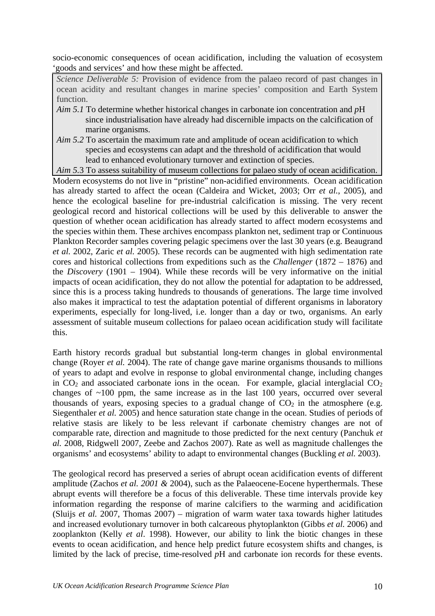socio-economic consequences of ocean acidification, including the valuation of ecosystem 'goods and services' and how these might be affected.

*Science Deliverable 5:* Provision of evidence from the palaeo record of past changes in ocean acidity and resultant changes in marine species' composition and Earth System function.

- *Aim 5.1* To determine whether historical changes in carbonate ion concentration and *p*H since industrialisation have already had discernible impacts on the calcification of marine organisms.
- *Aim 5.2* To ascertain the maximum rate and amplitude of ocean acidification to which species and ecosystems can adapt and the threshold of acidification that would lead to enhanced evolutionary turnover and extinction of species.
- *Aim 5.*3 To assess suitability of museum collections for palaeo study of ocean acidification.

Modern ecosystems do not live in "pristine" non-acidified environments. Ocean acidification has already started to affect the ocean (Caldeira and Wicket, 2003; Orr *et al.*, 2005), and hence the ecological baseline for pre-industrial calcification is missing. The very recent geological record and historical collections will be used by this deliverable to answer the question of whether ocean acidification has already started to affect modern ecosystems and the species within them. These archives encompass plankton net, sediment trap or Continuous Plankton Recorder samples covering pelagic specimens over the last 30 years (e.g. Beaugrand *et al.* 2002, Zaric *et al.* 2005). These records can be augmented with high sedimentation rate cores and historical collections from expeditions such as the *Challenger* (1872 – 1876) and the *Discovery* (1901 – 1904). While these records will be very informative on the initial impacts of ocean acidification, they do not allow the potential for adaptation to be addressed, since this is a process taking hundreds to thousands of generations. The large time involved also makes it impractical to test the adaptation potential of different organisms in laboratory experiments, especially for long-lived, i.e. longer than a day or two, organisms. An early assessment of suitable museum collections for palaeo ocean acidification study will facilitate this.

Earth history records gradual but substantial long-term changes in global environmental change (Royer *et al.* 2004). The rate of change gave marine organisms thousands to millions of years to adapt and evolve in response to global environmental change, including changes in  $CO<sub>2</sub>$  and associated carbonate ions in the ocean. For example, glacial interglacial  $CO<sub>2</sub>$ changes of ~100 ppm, the same increase as in the last 100 years, occurred over several thousands of years, exposing species to a gradual change of  $CO<sub>2</sub>$  in the atmosphere (e.g. Siegenthaler *et al.* 2005) and hence saturation state change in the ocean. Studies of periods of relative stasis are likely to be less relevant if carbonate chemistry changes are not of comparable rate, direction and magnitude to those predicted for the next century (Panchuk *et al.* 2008, Ridgwell 2007, Zeebe and Zachos 2007). Rate as well as magnitude challenges the organisms' and ecosystems' ability to adapt to environmental changes (Buckling *et al.* 2003).

The geological record has preserved a series of abrupt ocean acidification events of different amplitude (Zachos *et al. 2001 &* 2004), such as the Palaeocene-Eocene hyperthermals. These abrupt events will therefore be a focus of this deliverable. These time intervals provide key information regarding the response of marine calcifiers to the warming and acidification (Sluijs *et al.* 2007, Thomas 2007) – migration of warm water taxa towards higher latitudes and increased evolutionary turnover in both calcareous phytoplankton (Gibbs *et al.* 2006) and zooplankton (Kelly *et al*. 1998). However, our ability to link the biotic changes in these events to ocean acidification, and hence help predict future ecosystem shifts and changes, is limited by the lack of precise, time-resolved *p*H and carbonate ion records for these events.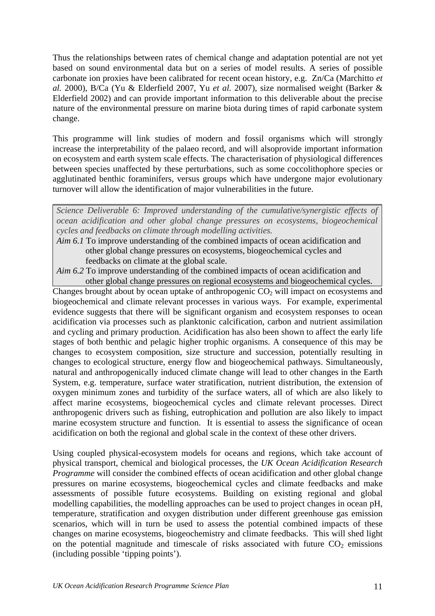Thus the relationships between rates of chemical change and adaptation potential are not yet based on sound environmental data but on a series of model results. A series of possible carbonate ion proxies have been calibrated for recent ocean history, e.g. Zn/Ca (Marchitto *et al.* 2000), B/Ca (Yu & Elderfield 2007, Yu *et al.* 2007), size normalised weight (Barker & Elderfield 2002) and can provide important information to this deliverable about the precise nature of the environmental pressure on marine biota during times of rapid carbonate system change.

This programme will link studies of modern and fossil organisms which will strongly increase the interpretability of the palaeo record, and will alsoprovide important information on ecosystem and earth system scale effects. The characterisation of physiological differences between species unaffected by these perturbations, such as some coccolithophore species or agglutinated benthic foraminifers, versus groups which have undergone major evolutionary turnover will allow the identification of major vulnerabilities in the future.

*Science Deliverable 6: Improved understanding of the cumulative/synergistic effects of ocean acidification and other global change pressures on ecosystems, biogeochemical cycles and feedbacks on climate through modelling activities.* 

*Aim 6.1* To improve understanding of the combined impacts of ocean acidification and other global change pressures on ecosystems, biogeochemical cycles and feedbacks on climate at the global scale.

*Aim 6.2* To improve understanding of the combined impacts of ocean acidification and other global change pressures on regional ecosystems and biogeochemical cycles.

Changes brought about by ocean uptake of anthropogenic  $CO<sub>2</sub>$  will impact on ecosystems and biogeochemical and climate relevant processes in various ways. For example, experimental evidence suggests that there will be significant organism and ecosystem responses to ocean acidification via processes such as planktonic calcification, carbon and nutrient assimilation and cycling and primary production. Acidification has also been shown to affect the early life stages of both benthic and pelagic higher trophic organisms. A consequence of this may be changes to ecosystem composition, size structure and succession, potentially resulting in changes to ecological structure, energy flow and biogeochemical pathways. Simultaneously, natural and anthropogenically induced climate change will lead to other changes in the Earth System, e.g. temperature, surface water stratification, nutrient distribution, the extension of oxygen minimum zones and turbidity of the surface waters, all of which are also likely to affect marine ecosystems, biogeochemical cycles and climate relevant processes. Direct anthropogenic drivers such as fishing, eutrophication and pollution are also likely to impact marine ecosystem structure and function. It is essential to assess the significance of ocean acidification on both the regional and global scale in the context of these other drivers.

Using coupled physical-ecosystem models for oceans and regions, which take account of physical transport, chemical and biological processes, the *UK Ocean Acidification Research Programme* will consider the combined effects of ocean acidification and other global change pressures on marine ecosystems, biogeochemical cycles and climate feedbacks and make assessments of possible future ecosystems. Building on existing regional and global modelling capabilities, the modelling approaches can be used to project changes in ocean pH, temperature, stratification and oxygen distribution under different greenhouse gas emission scenarios, which will in turn be used to assess the potential combined impacts of these changes on marine ecosystems, biogeochemistry and climate feedbacks. This will shed light on the potential magnitude and timescale of risks associated with future  $CO<sub>2</sub>$  emissions (including possible 'tipping points').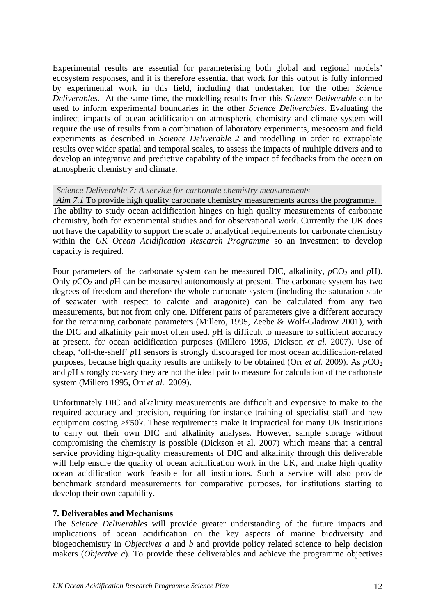Experimental results are essential for parameterising both global and regional models' ecosystem responses, and it is therefore essential that work for this output is fully informed by experimental work in this field, including that undertaken for the other *Science Deliverables*. At the same time, the modelling results from this *Science Deliverable* can be used to inform experimental boundaries in the other *Science Deliverables*. Evaluating the indirect impacts of ocean acidification on atmospheric chemistry and climate system will require the use of results from a combination of laboratory experiments, mesocosm and field experiments as described in *Science Deliverable 2* and modelling in order to extrapolate results over wider spatial and temporal scales, to assess the impacts of multiple drivers and to develop an integrative and predictive capability of the impact of feedbacks from the ocean on atmospheric chemistry and climate.

#### *Science Deliverable 7: A service for carbonate chemistry measurements*

*Aim 7.1* To provide high quality carbonate chemistry measurements across the programme. The ability to study ocean acidification hinges on high quality measurements of carbonate chemistry, both for experimental studies and for observational work. Currently the UK does not have the capability to support the scale of analytical requirements for carbonate chemistry within the *UK Ocean Acidification Research Programme* so an investment to develop capacity is required.

Four parameters of the carbonate system can be measured DIC, alkalinity,  $pCO_2$  and  $pH$ ). Only  $pCO_2$  and  $pH$  can be measured autonomously at present. The carbonate system has two degrees of freedom and therefore the whole carbonate system (including the saturation state of seawater with respect to calcite and aragonite) can be calculated from any two measurements, but not from only one. Different pairs of parameters give a different accuracy for the remaining carbonate parameters (Millero, 1995, Zeebe & Wolf-Gladrow 2001), with the DIC and alkalinity pair most often used. *p*H is difficult to measure to sufficient accuracy at present, for ocean acidification purposes (Millero 1995, Dickson *et al.* 2007). Use of cheap, 'off-the-shelf' *p*H sensors is strongly discouraged for most ocean acidification-related purposes, because high quality results are unlikely to be obtained (Orr *et al.* 2009). As  $pCO<sub>2</sub>$ and *p*H strongly co-vary they are not the ideal pair to measure for calculation of the carbonate system (Millero 1995, Orr *et al.* 2009).

Unfortunately DIC and alkalinity measurements are difficult and expensive to make to the required accuracy and precision, requiring for instance training of specialist staff and new equipment costing >£50k. These requirements make it impractical for many UK institutions to carry out their own DIC and alkalinity analyses. However, sample storage without compromising the chemistry is possible (Dickson et al. 2007) which means that a central service providing high-quality measurements of DIC and alkalinity through this deliverable will help ensure the quality of ocean acidification work in the UK, and make high quality ocean acidification work feasible for all institutions. Such a service will also provide benchmark standard measurements for comparative purposes, for institutions starting to develop their own capability.

#### **7. Deliverables and Mechanisms**

The *Science Deliverables* will provide greater understanding of the future impacts and implications of ocean acidification on the key aspects of marine biodiversity and biogeochemistry in *Objectives a* and *b* and provide policy related science to help decision makers (*Objective c*). To provide these deliverables and achieve the programme objectives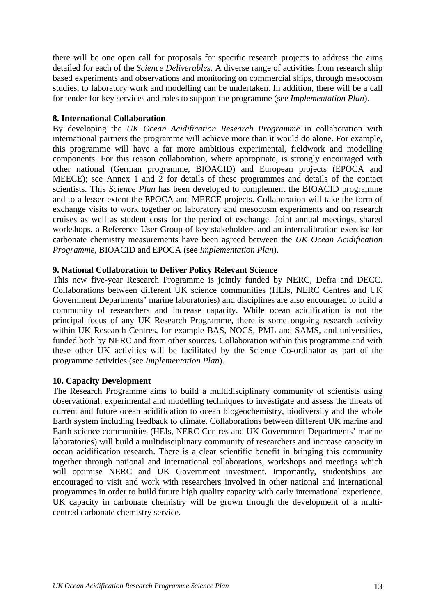there will be one open call for proposals for specific research projects to address the aims detailed for each of the *Science Deliverables*. A diverse range of activities from research ship based experiments and observations and monitoring on commercial ships, through mesocosm studies, to laboratory work and modelling can be undertaken. In addition, there will be a call for tender for key services and roles to support the programme (see *Implementation Plan*).

## **8. International Collaboration**

By developing the *UK Ocean Acidification Research Programme* in collaboration with international partners the programme will achieve more than it would do alone. For example, this programme will have a far more ambitious experimental, fieldwork and modelling components. For this reason collaboration, where appropriate, is strongly encouraged with other national (German programme, BIOACID) and European projects (EPOCA and MEECE); see Annex 1 and 2 for details of these programmes and details of the contact scientists. This *Science Plan* has been developed to complement the BIOACID programme and to a lesser extent the EPOCA and MEECE projects. Collaboration will take the form of exchange visits to work together on laboratory and mesocosm experiments and on research cruises as well as student costs for the period of exchange. Joint annual meetings, shared workshops, a Reference User Group of key stakeholders and an intercalibration exercise for carbonate chemistry measurements have been agreed between the *UK Ocean Acidification Programme*, BIOACID and EPOCA (see *Implementation Plan*).

## **9. National Collaboration to Deliver Policy Relevant Science**

This new five-year Research Programme is jointly funded by NERC, Defra and DECC. Collaborations between different UK science communities (HEIs, NERC Centres and UK Government Departments' marine laboratories) and disciplines are also encouraged to build a community of researchers and increase capacity. While ocean acidification is not the principal focus of any UK Research Programme, there is some ongoing research activity within UK Research Centres, for example BAS, NOCS, PML and SAMS, and universities, funded both by NERC and from other sources. Collaboration within this programme and with these other UK activities will be facilitated by the Science Co-ordinator as part of the programme activities (see *Implementation Plan*).

## **10. Capacity Development**

The Research Programme aims to build a multidisciplinary community of scientists using observational, experimental and modelling techniques to investigate and assess the threats of current and future ocean acidification to ocean biogeochemistry, biodiversity and the whole Earth system including feedback to climate. Collaborations between different UK marine and Earth science communities (HEIs, NERC Centres and UK Government Departments' marine laboratories) will build a multidisciplinary community of researchers and increase capacity in ocean acidification research. There is a clear scientific benefit in bringing this community together through national and international collaborations, workshops and meetings which will optimise NERC and UK Government investment. Importantly, studentships are encouraged to visit and work with researchers involved in other national and international programmes in order to build future high quality capacity with early international experience. UK capacity in carbonate chemistry will be grown through the development of a multicentred carbonate chemistry service.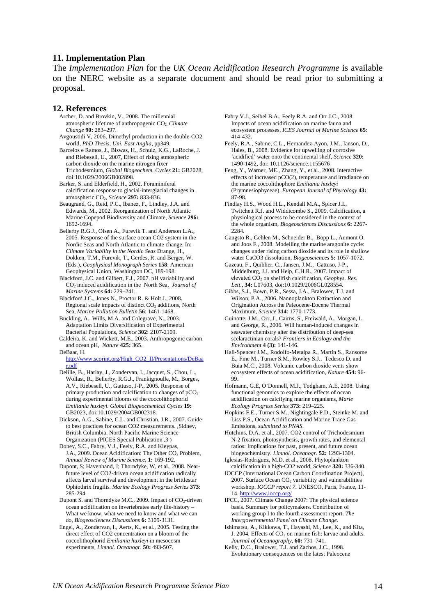#### **11. Implementation Plan**

The *Implementation Plan* for the *UK Ocean Acidification Research Programme* is available on the NERC website as a separate document and should be read prior to submitting a proposal.

#### **12. References**

- Archer, D. and Brovkin, V., 2008. The millennial atmospheric lifetime of anthropogenic CO2. *Climate Change* **90:** 283–297.
- Avgoustidi V, 2006, Dimethyl production in the double-CO2 world, *PhD Thesis, Uni. East Anglia,* pp349.

Barcelos e Ramos, J., Biswas, H., Schulz, K.G., LaRoche, J. and Riebesell, U., 2007, Effect of rising atmospheric carbon dioxide on the marine nitrogen fixer Trichodesmium, *Global Biogeochem. Cycles* **21:** GB2028, doi:10.1029/2006GB002898.

Barker, S. and Elderfield, H., 2002. Foraminiferal calcification response to glacial-interglacial changes in atmospheric CO2, *Science* **297:** 833-836.

Beaugrand, G., Reid, P.C., Ibanez, F., Lindley, J.A. and Edwards, M., 2002. Reorganization of North Atlantic Marine Copepod Biodiversity and Climate, *Science* **296:** 1692-1694.

Bellerby R.G.J., Olsen A., Furevik T. and Anderson L.A., 2005. Response of the surface ocean CO2 system in the Nordic Seas and North Atlantic to climate change. In: *Climate Variability in the Nordic Seas* Drange, H., Dokken, T.M., Furevik, T., Gerdes, R. and Berger, W. (Eds*.*)*, Geophysical Monograph Series* **158**: American Geophysical Union, Washington DC, 189-198.

Blackford, J.C. and Gilbert, F.J., 2007. pH variability and CO2 induced acidification in the North Sea*, Journal of Marine Systems* **64:** 229–241.

Blackford J.C., [Jones N.](http://apps.isiknowledge.com/DaisyOneClickSearch.do?product=WOS&search_mode=DaisyOneClickSearch&db_id=&SID=Y12j87@gAilBL@6KBd2&name=Jones%20N&ut=000258964800023&pos=2), [Proctor R.](http://apps.isiknowledge.com/DaisyOneClickSearch.do?product=WOS&search_mode=DaisyOneClickSearch&db_id=&SID=Y12j87@gAilBL@6KBd2&name=Proctor%20R&ut=000258964800023&pos=3) & [Holt J](http://apps.isiknowledge.com/DaisyOneClickSearch.do?product=WOS&search_mode=DaisyOneClickSearch&db_id=&SID=Y12j87@gAilBL@6KBd2&name=Holt%20J&ut=000258964800023&pos=4)., 2008. Regional scale impacts of distinct  $CO<sub>2</sub>$  additions, North Sea*, Marine Pollution Bulletin* **56**: 1461-1468.

Buckling, A., Wills, M.A. and Colegrave, N., 2003. Adaptation Limits Diversification of Experimental Bacterial Populations, *Science* **302**: 2107-2109.

Caldeira, K. and Wickett, M.E., 2003. Anthropogenic carbon and ocean pH, *Nature* **425:** 365.

DeBaar, H.

[http://www.scorint.org/High\\_CO2\\_II/Presentations/DeBaa](http://www.scorint.org/High_CO2_II/Presentations/DeBaar.pdf) [r.pdf](http://www.scorint.org/High_CO2_II/Presentations/DeBaar.pdf)

Delille, B., Harlay, J., Zondervan, I., Jacquet, S., Chou, L., Wollast, R., Bellerby, R.G.J., Frankignoulle, M., Borges, A.V., Riebesell, U., Gattuso, J-P., 2005. Response of primary production and calcification to changes of  $pCO<sub>2</sub>$ during experimental blooms of the coccolithophorid *Emiliania huxleyi*. *Global Biogeochemical Cycles* **19:** GB2023, doi:10.1029/2004GB002318.

Dickson, A.G., Sabine, C.L. and Christian, J.R., 2007. Guide to best practices for ocean CO2 measurements. ,Sidney, British Columbia. North Pacific Marine Science Organization (PICES Special Publication ,3 )

Doney, S.C., Fabry, V.J., Feely, R.A. and Kleypas, J.A., 2009. Ocean Acidification: The Other CO<sub>2</sub> Problem, *Annual Review of Marine Science*, **1:** 169-192.

- Dupont, S; Havenhand, J; Thorndyke, W, et al., 2008. Nearfuture level of CO2-driven ocean acidification radically affects larval survival and development in the brittlestar Ophiothrix fragilis. *Marine Ecology Progress Series* **373**: 285-294.
- Dupont S. and Thorndyke M.C., 2009. Impact of CO<sub>2</sub>-driven ocean acidification on invertebrates early life-history – What we know, what we need to know and what we can do, *Biogeosciences Discussions* **6:** 3109-3131.

Engel, A., Zondervan, I., Aerts, K., et al., 2005. Testing the direct effect of CO2 concentration on a bloom of the coccolithophorid *Emiliania huxleyi* in mesocosm experiments, *Limnol. Oceanogr.* **50:** 493-507.

[Fabry V.J.](http://apps.isiknowledge.com/DaisyOneClickSearch.do?product=WOS&search_mode=DaisyOneClickSearch&db_id=&SID=Y12j87@gAilBL@6KBd2&name=Fabry%20VJ&ut=000256130200015&pos=1), [Seibel B.A.](http://apps.isiknowledge.com/DaisyOneClickSearch.do?product=WOS&search_mode=DaisyOneClickSearch&db_id=&SID=Y12j87@gAilBL@6KBd2&name=Seibel%20BA&ut=000256130200015&pos=2), [Feely R.A.](http://apps.isiknowledge.com/DaisyOneClickSearch.do?product=WOS&search_mode=DaisyOneClickSearch&db_id=&SID=Y12j87@gAilBL@6KBd2&name=Feely%20RA&ut=000256130200015&pos=3) and [Orr J.C.](http://apps.isiknowledge.com/DaisyOneClickSearch.do?product=WOS&search_mode=DaisyOneClickSearch&db_id=&SID=Y12j87@gAilBL@6KBd2&name=Orr%20JC&ut=000256130200015&pos=4), 2008. Impacts of ocean acidification on marine fauna and ecosystem processes, *ICES Journal of Marine Science* **65**: 414-432.

Feely, R.A., Sabine, C.L., Hernandez-Ayon, J.M., Ianson, D., Hales, B., 2008. Evidence for upwelling of corrosive 'acidified' water onto the continental shelf, *Science* **320:** 1490-1492, doi: 10.1126/science.1155676

Feng, Y., Warner, ME., Zhang, Y., et al., 2008. Interactive effects of increased pCO(2), temperature and irradiance on the marine coccolithophore *Emiliania huxleyi*  (Prymnesiophyceae), *European Journal of Phycology* **43:** 87-98.

Findlay H.S., Wood H.L., Kendall M.A., Spicer J.I., Twitchett R.J. and Widdicombe S., 2009. Calcification, a physiological process to be considered in the context of the whole organism, *Biogeosciences Discussions* **6:** 2267-  $2284$ 

[Gangsto R](http://apps.isiknowledge.com/DaisyOneClickSearch.do?product=WOS&search_mode=DaisyOneClickSearch&db_id=&SID=Y12j87@gAilBL@6KBd2&name=Gangsto%20R&ut=000259986400007&pos=1)., [Gehlen M.](http://apps.isiknowledge.com/DaisyOneClickSearch.do?product=WOS&search_mode=DaisyOneClickSearch&db_id=&SID=Y12j87@gAilBL@6KBd2&name=Gehlen%20M&ut=000259986400007&pos=2), [Schneider B.](http://apps.isiknowledge.com/DaisyOneClickSearch.do?product=WOS&search_mode=DaisyOneClickSearch&db_id=&SID=Y12j87@gAilBL@6KBd2&name=Schneider%20B&ut=000259986400007&pos=3), [Bopp L](http://apps.isiknowledge.com/DaisyOneClickSearch.do?product=WOS&search_mode=DaisyOneClickSearch&db_id=&SID=Y12j87@gAilBL@6KBd2&name=Bopp%20L&ut=000259986400007&pos=4)., [Aumont O](http://apps.isiknowledge.com/DaisyOneClickSearch.do?product=WOS&search_mode=DaisyOneClickSearch&db_id=&SID=Y12j87@gAilBL@6KBd2&name=Aumont%20O&ut=000259986400007&pos=5). and [Joos F.](http://apps.isiknowledge.com/DaisyOneClickSearch.do?product=WOS&search_mode=DaisyOneClickSearch&db_id=&SID=Y12j87@gAilBL@6KBd2&name=Joos%20F&ut=000259986400007&pos=6), 2008. Modelling the marine aragonite cycle: changes under rising carbon dioxide and its role in shallow water CaCO3 dissolution, *Biogeosciences* **5:** 1057-1072.

Gazeau, F., Quiblier, C., Jansen, J.M., Gattuso, J-P., Middelburg, J.J. and Heip, C.H.R., 2007. Impact of elevated CO<sub>2</sub> on shellfish calcification, *Geophys. Res. Lett.,* **34:** L07603, doi:10.1029/2006GL028554.

Gibbs, S.J., Bown, P.R., Sessa, J.A., Bralower, T.J. and Wilson, P.A., 2006. Nannoplankton Extinction and Origination Across the Paleocene-Eocene Thermal Maximum, *Science* **314**: 1770-1773.

Guinotte, J.M., Orr, J., Cairns, S., Freiwald, A., Morgan, L. and George, R., 2006. Will human-induced changes in seawater chemistry alter the distribution of deep-sea scelaractinian corals? *Frontiers in Ecology and the Environment* **4 (3):** 141-146.

Hall-Spencer J.M., [Rodolfo-Metalpa R](http://apps.isiknowledge.com/DaisyOneClickSearch.do?product=WOS&search_mode=DaisyOneClickSearch&db_id=&SID=Y12j87@gAilBL@6KBd2&name=Rodolfo-Metalpa%20R&ut=000257308300044&pos=2)., [Martin S](http://apps.isiknowledge.com/DaisyOneClickSearch.do?product=WOS&search_mode=DaisyOneClickSearch&db_id=&SID=Y12j87@gAilBL@6KBd2&name=Martin%20S&ut=000257308300044&pos=3)., [Ransome](http://apps.isiknowledge.com/DaisyOneClickSearch.do?product=WOS&search_mode=DaisyOneClickSearch&db_id=&SID=Y12j87@gAilBL@6KBd2&name=Ransome%20E&ut=000257308300044&pos=4)  [E](http://apps.isiknowledge.com/DaisyOneClickSearch.do?product=WOS&search_mode=DaisyOneClickSearch&db_id=&SID=Y12j87@gAilBL@6KBd2&name=Ransome%20E&ut=000257308300044&pos=4)., [Fine M](http://apps.isiknowledge.com/DaisyOneClickSearch.do?product=WOS&search_mode=DaisyOneClickSearch&db_id=&SID=Y12j87@gAilBL@6KBd2&name=Fine%20M&ut=000257308300044&pos=5)., [Turner S.M.](http://apps.isiknowledge.com/DaisyOneClickSearch.do?product=WOS&search_mode=DaisyOneClickSearch&db_id=&SID=Y12j87@gAilBL@6KBd2&name=Turner%20SM&ut=000257308300044&pos=6), [Rowley S.J](http://apps.isiknowledge.com/DaisyOneClickSearch.do?product=WOS&search_mode=DaisyOneClickSearch&db_id=&SID=Y12j87@gAilBL@6KBd2&name=Rowley%20SJ&ut=000257308300044&pos=7)., [Tedesco D.](http://apps.isiknowledge.com/DaisyOneClickSearch.do?product=WOS&search_mode=DaisyOneClickSearch&db_id=&SID=Y12j87@gAilBL@6KBd2&name=Tedesco%20D&ut=000257308300044&pos=8) and [Buia M.C.](http://apps.isiknowledge.com/DaisyOneClickSearch.do?product=WOS&search_mode=DaisyOneClickSearch&db_id=&SID=Y12j87@gAilBL@6KBd2&name=Buia%20MC&ut=000257308300044&pos=9), 2008. Volcanic carbon dioxide vents show ecosystem effects of ocean acidification, *Nature* **454:** 96- 99.

Hofmann, G.E, O'Donnell, M.J., Todgham, A.E, 2008. Using functional genomics to explore the effects of ocean acidification on calcifying marine organisms, *Marie Ecology Progress Series* **373:** 219–225.

Hopkins F.E., Turner S.M., Nightingale P.D., Steinke M. and Liss P.S., Ocean Acidification and Marine Trace Gas Emissions, *submitted to PNAS*.

Hutchins, D.A. et al., 2007. CO2 control of Trichodesmium N-2 fixation, photosynthesis, growth rates, and elemental ratios: Implications for past, present, and future ocean biogeochemistry. *Limnol. Oceanogr.* **52:** 1293-1304.

Iglesias-Rodriguez, M.D. et al., 2008. Phytoplankton calcification in a high-CO2 world, *Science* **320:** 336-340.

IOCCP (International Ocean Carbon Coordination Project), 2007. Surface Ocean  $CO<sub>2</sub>$  variability and vulnerabilities workshop. *IOCCP report 7*. UNESCO, Paris, France, 11- 14.<http://www.ioccp.org/>

IPCC, 2007. Climate Change 2007: The physical science basis. Summary for policymakers. Contribution of working group I to the fourth assessment report. *The Intergovernmental Panel on Climate Change.* 

Ishimatsu, A., Kikkawa, T., Hayashi, M., Lee, K., and Kita, J. 2004. Effects of  $CO<sub>2</sub>$  on marine fish: larvae and adults. *Journal of Oceanography*, **60:** 731–741.

Kelly, D.C., Bralower, T.J. and Zachos, J.C., 1998. Evolutionary consequences on the latest Paleocene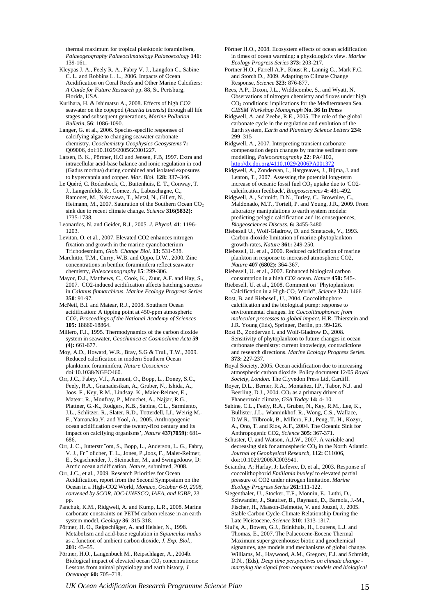thermal maximum for tropical planktonic foraminifera, *Palaeogeography Palaeoclimatology Palaeoecology* **141**: 139-161.

- Kleypas J. A., Feely R. A., Fabry V. J., Langdon C., Sabine C. L. and Robbins L. L., 2006. Impacts of Ocean Acidification on Coral Reefs and Other Marine Calcifiers: *A Guide for Future Research* pp. 88, St. Pertsburg, Florida, USA.
- Kurihara, H. & Ishimatsu A., 2008. Effects of high CO2 seawater on the copepod (*Acartia tsuensis*) through all life stages and subsequent generations, *Marine Pollution Bulletin*, **56**: 1086-1090.
- Langer, G. et al., 2006. Species-specific responses of calcifying algae to changing seawater carbonate chemistry. *Geochemistry Geophysics Geosystems* **7:** Q09006, doi:10.1029/2005GC001227.
- Larsen, B. K., Pörtner, H.O and Jensen, F.B, 1997. Extra and intracellular acid-base balance and ionic regulation in cod (Gadus morhua) during combined and isolated exposures to hypercapnia and copper. *Mar. Biol.* **128:** 337–346.
- Le Quéré, C. Rodenbeck, C., Buitenhuis, E. T., Conway, T. J., Langenfelds, R., Gomez, A., Labuschagne, C., Ramonet, M., Nakazawa, T., Metzl, N., Gillett, N., Heimann, M., 2007. Saturation of the Southern Ocean  $CO<sub>2</sub>$ sink due to recent climate change. *Science* **316(5832):** 1735-1738.
- Leonardos, N. and Geider, R.J., 2005. *J. Phycol.* **41**: 1196- 1203.
- Levitan, O. et al., 2007. Elevated CO2 enhances nitrogen fixation and growth in the marine cyanobacterium Trichodesmium, *Glob. Change Biol.* **13:** 531-538.
- Marchitto, T.M., Curry, W.B. and Oppo, D.W., 2000. Zinc concentrations in benthic foraminifera reflect seawater chemistry, *Paleoceanography* **15**: 299-306.
- Mayor, D.J., Matthews, C., Cook, K., Zuur, A.F. and Hay, S., 2007. CO2-induced acidification affects hatching success in *Calanus finmarchicus*. *Marine Ecology Progress Series*  **350**: 91-97.
- McNeil, B.I. and Matear, R.J., 2008. Southern Ocean acidification: A tipping point at 450-ppm atmospheric CO2, *Proceedings of the National Academy of Sciences* **105:** 18860-18864.
- Millero, F.J., 1995. Thermodynamics of the carbon dioxide system in seawater, *Geochimica et Cosmochima Acta* **59 (4):** 661-677.
- Moy, A.D., Howard, W.R., Bray, S.G & Trull, T.W., 2009. Reduced calcification in modern Southern Ocean planktonic foraminifera, *Nature Geoscience* doi:10.1038/NGEO460.
- Orr, J.C., Fabry, V.J., Aumont, O., Bopp, L., Doney, S.C., Feely, R.A., Gnanadesikan, A., Gruber, N., Ishida, A., Joos, F., Key, R.M., Lindsay, K., Maier-Reimer, E., Matear, R., Monfray, P., Mouchet, A., Najjar, R.G., Plattner, G.-K., Rodgers, K.B., Sabine, C.L., Sarmiento, J.L., Schlitzer, R., Slater, R.D., Totterdell, I.J., Weirig,M.- F., Yamanaka,Y. and Yool, A., 2005. Anthropogenic ocean acidification over the twenty-first century and its impact on calcifying organisms', *Nature* **437(7059)**: 681– 686.
- Orr, J. C., Jutterstr ¨om, S., Bopp, L., Anderson, L. G., Fabry, V. J., Fr ¨ olicher, T. L., Jones, P.,Joos, F., Maier-Reimer, E., Segschneider, J., Steinacher, M., and Swingedouw, D: Arctic ocean acidification, *Nature*, submitted, 2008.
- Orr, J.C., et al., 2009. Research Priorities for Ocean Acidification, report from the Second Symposium on the Ocean in a High-CO2 World, *Monaco, October 6-9, 2008, convened by SCOR, IOC-UNESCO, IAEA, and IGBP,* 23 pp.
- Panchuk, K.M., Ridgwell, A. and Kump, L.R., 2008. Marine carbonate constraints on PETM carbon release in an earth system model, *Geology* **36**: 315-318.
- Pörtner, H. O., Reipschläger, A. and Heisler, N., 1998. Metabolism and acid-base regulation in *Sipunculus nudus* as a function of ambient carbon dioxide, *J. Exp. Biol.,* **201:** 43–55.
- Pörtner, H.O., Langenbuch M., Reipschlager, A., 2004b. Biological impact of elevated ocean  $CO<sub>2</sub>$  concentrations: Lessons from animal physiology and earth history, *J Oceanogr* **60:** 705–718.
- [Pörtner H.O](http://apps.isiknowledge.com/DaisyOneClickSearch.do?product=WOS&search_mode=DaisyOneClickSearch&db_id=&SID=Y12j87@gAilBL@6KBd2&name=Portner%20HO&ut=000262731000018&pos=1)., 2008. Ecosystem effects of ocean acidification in times of ocean warming: a physiologist's view. *Marine Ecology Progress Series* **373:** 203-217.
- [Pörtner H.O](http://apps.isiknowledge.com/DaisyOneClickSearch.do?product=WOS&search_mode=DaisyOneClickSearch&db_id=&SID=Y12j87@gAilBL@6KBd2&name=Portner%20HO&ut=000262731000018&pos=1)., [Farrell A.P.](http://apps.isiknowledge.com/DaisyOneClickSearch.do?product=WOS&search_mode=DaisyOneClickSearch&db_id=&SID=Y12j87@gAilBL@6KBd2&name=Farrell%20AP&ut=000263295400015&pos=2), [Knust R](http://apps.isiknowledge.com/DaisyOneClickSearch.do?product=WOS&search_mode=DaisyOneClickSearch&db_id=&SID=Y12j87@gAilBL@6KBd2&name=Knust%20R&ut=000263295400015&pos=3)., [Lannig G.](http://apps.isiknowledge.com/DaisyOneClickSearch.do?product=WOS&search_mode=DaisyOneClickSearch&db_id=&SID=Y12j87@gAilBL@6KBd2&name=Lannig%20G&ut=000263295400015&pos=4), [Mark F.C.](http://apps.isiknowledge.com/DaisyOneClickSearch.do?product=WOS&search_mode=DaisyOneClickSearch&db_id=&SID=Y12j87@gAilBL@6KBd2&name=Mark%20FC&ut=000263295400015&pos=5) and [Storch D](http://apps.isiknowledge.com/DaisyOneClickSearch.do?product=WOS&search_mode=DaisyOneClickSearch&db_id=&SID=Y12j87@gAilBL@6KBd2&name=Storch%20D&ut=000263295400015&pos=6)., 2009. Adapting to Climate Change Response, *Science* **323:** 876-877.
- Rees, A.P., Dixon, J.L., Widdicombe, S., and Wyatt, N. Observations of nitrogen chemistry and fluxes under high CO2 conditions: implications for the Mediterranean Sea. *CIESM Workshop Monograph* **No. 36 In Press**
- Ridgwell, A. and Zeebe, R.E., 2005. The role of the global carbonate cycle in the regulation and evolution of the Earth system, *Earth and Planetary Science Letters* **234:** 299–315
- Ridgwell, A., 2007. Interpreting transient carbonate compensation depth changes by marine sediment core modelling, *Paleoceanography* **22**: PA4102, <http://dx.doi.org/4110.1029/2006PA001372>
- Ridgwell, A., Zondervan, I., Hargreaves, J., Bijma, J. and Lenton, T., 2007. Assessing the potential long-term increase of oceanic fossil fuel CO2 uptake due to 'CO2 calcification feedback', *Biogeosciences* **4:** 481-492.
- Ridgwell, A., Schmidt, D.N., Turley, C., Brownlee, C., Maldonado, M.T., Tortell, P. and Young, J.R., 2009. From laboratory manipulations to earth system models: predicting pelagic calcification and its consequences, *Biogeosciences Discuss.* **6:** 3455-3480
- Riebesell U., Wolf-Gladrow, D. and Smetacek, V., 1993. Carbon-dioxide limitation of marine-phytoplankton growth-rates, *Nature* **361:** 249-250.
- Riebesell, U. et al., 2000. Reduced calcification of marine plankton in response to increased atmospheric CO2, *Nature* **407 (6802):** 364-367.
- Riebesell, U. et al., 2007. Enhanced biological carbon consumption in a high CO2 ocean. *Nature* **450:** 545-.
- Riebesell, U. et al., 2008. Comment on "Phytoplankton Calcification in a High-CO2 World", *Science* **322:** 1466
- Rost, B. and Riebesell, U., 2004. Coccolithophore calcification and the biological pump: response to environmental changes. In: *Coccolithophores: from molecular processes to global impact.* H.R. Thierstein and J.R. Young (Eds), Springer, Berlin, pp. 99-126.
- Rost B., [Zondervan I.](http://apps.isiknowledge.com/DaisyOneClickSearch.do?product=WOS&search_mode=DaisyOneClickSearch&db_id=&SID=Y12j87@gAilBL@6KBd2&name=Zondervan%20I&ut=000262731000020&pos=2) and [Wolf-Gladrow D](http://apps.isiknowledge.com/DaisyOneClickSearch.do?product=WOS&search_mode=DaisyOneClickSearch&db_id=&SID=Y12j87@gAilBL@6KBd2&name=Wolf-Gladrow%20D&ut=000262731000020&pos=3)., 2008. Sensitivity of phytoplankton to future changes in ocean carbonate chemistry: current knowledge, contradictions and research directions. *Marine Ecology Progress Series.* **373:** 227-237.
- Royal Society, 2005. Ocean acidification due to increasing atmospheric carbon dioxide. Policy document 12/05 *Royal Society, London.* The Clyvedon Press Ltd, Cardiff.
- Royer, D.L., Berner, R.A., Montañez, I.P., Tabor, N.J. and Beerling, D.J., 2004.  $CO<sub>2</sub>$  as a primary driver of Phanerozoic climate, *GSA Today* **14:** 4- 10.
- Sabine, C.L., Feely, R.A., Gruber, N., Key, R.M., Lee, K., Bullister, J.L., Wanninkhof, R., Wong, C.S., Wallace, D.W.R., Tilbrook, B., Millero, F.J., Peng, T.-H., Kozyr, A., Ono, T. and Rios, A.F., 2004. The Oceanic Sink for Anthropogenic CO2, *Science* **305:** 367-371.
- Schuster, U. and Watson, A.J.W., 2007. A variable and decreasing sink for atmospheric  $CO<sub>2</sub>$  in the North Atlantic. *Journal of Geophysical Research,* **112:** C11006, doi:10.1029/2006JC003941.
- Sciandra, A; Harlay, J; Lefevre, D, et al., 2003. Response of coccolithophorid *Emiliania huxleyi* to elevated partial pressure of CO2 under nitrogen limitation. *Marine Ecology Progress Series* **261:**111-122.
- Siegenthaler, U., Stocker, T.F., Monnin, E., Luthi, D., Schwander, J., Stauffer, B., Raynaud, D., Barnola, J.-M., Fischer, H., Masson-Delmotte, V. and Jouzel, J., 2005. Stable Carbon Cycle-Climate Relationship During the Late Pleistocene, *Science* **310**: 1313-1317.
- Sluijs, A., Bowen, G.J., Brinkhuis, H., Lourens, L.J. and Thomas, E., 2007. The Palaeocene-Eocene Thermal Maximum super greenhouse: biotic and geochemical signatures, age models and mechanisms of global change. Williams, M., Haywood, A.M., Gregory, F.J. and Schmidt, D.N., (Eds), *Deep time perspectives on climate change marrying the signal from computer models and biological*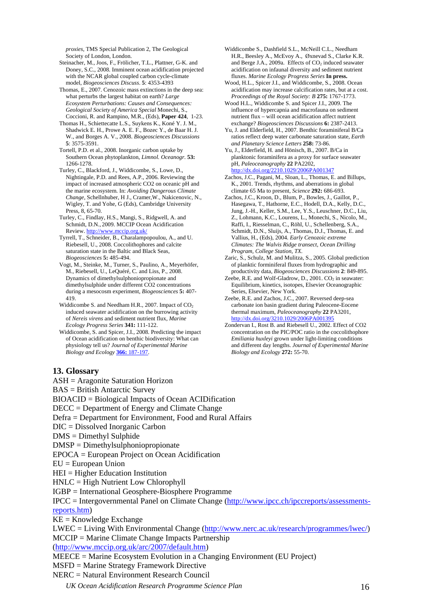*proxies,* TMS Special Publication 2, The Geological Society of London, London.

- Steinacher, M., Joos, F., Frölicher, T.L., Plattner, G-K. and Doney, S.C., 2008. Imminent ocean acidification projected with the NCAR global coupled carbon cycle-climate
- Thomas, E., 2007. Cenozoic mass extinctions in the deep sea: what perturbs the largest habitat on earth? *Large Ecosystem Perturbations: Causes and Consequences: Geological Society of America Special* Monechi, S., Coccioni, R. and Rampino, M.R., (Eds), **Paper 424**, 1-23.
- Thomas H., Schiettecatte L.S., Suykens K., Koné Y. J. M., exchange? *Biogeosciences Discussions* **6:** 2387-2413. Shadwick E. H., Prowe A. E. F., Bozec Y., de Baar H. J. W., and Borges A. V., 2008. *Biogeosciences Discussions* **5**: 3575-3591.
- Tortell, P.D. et al., 2008. Inorganic carbon uptake by Southern Ocean phytoplankton, *Limnol. Oceanogr.* **53:** 1266-1278.
- Turley, C., Blackford, J., Widdicombe, S., Lowe, D., Nightingale, P.D. and Rees, A.P., 2006. Reviewing the impact of increased atmospheric CO2 on oceanic pH and the marine ecosystem. In: *Avoiding Dangerous Climate Change*, Schellnhuber, H J., Cramer,W., Nakicenovic, N., Wigley, T. and Yohe, G (Eds), Cambridge University Press, 8, 65-70.
- Turley, C., Findlay, H.S., Mangi, S., Ridgwell, A. and Schmidt, D.N., 2009. MCCIP Ocean Acidification Review.<http://www.mccip.org.uk/>
- Tyrrell, T., Schneider, B., Charalampopoulou, A., and U. Riebesell, U., 2008. Coccolithophores and calcite saturation state in the Baltic and Black Seas,
- Vogt, M., Steinke, M., Turner, S., Paulino, A., Meyerhöfer, M., Riebesell, U., LeQuéré, C. and Liss, P., 2008. Dynamics of dimethylsulphoniopropionate and dimethylsulphide under different CO2 concentrations during a mesocosm experiment, *Biogeosciences* **5:** 407- 419.
- Widdicombe S. and Needham H.R., 2007. Impact of CO<sub>2</sub> induced seawater acidification on the burrowing activity of *Nereis virens* and sediment nutrient flux, *Marine*
- Widdicombe, S. and Spicer, J.I., 2008. Predicting the impact of Ocean acidification on benthic biodiversity: What can physiology tell us? *Journal of Experimental Marine Biology and Ecology* **366:** [187-197](http://dx.doi.org/10.1016/j.jembe.2008.07.024).
- Widdicombe S., Dashfield S.L., McNeill C.L., Needham H.R., Beesley A., McEvoy A., Øxnevad S., Clarke K.R. and Berge J.A., 2009a. Effects of  $CO<sub>2</sub>$  induced seawater acidification on infaunal diversity and sediment nutrient fluxes. *Marine Ecology Progress Series* **In press.**
- model, *Biogeosciences Discuss*. **5**: 4353-4393 Wood, H.L., Spicer J.I., and Widdicombe, S., 2008. Ocean acidification may increase calcification rates, but at a cost. *Proceedings of the Royal Society: B* **275:** 1767-1773.
	- Wood H.L., Widdicombe S. and Spicer J.I., 2009. The influence of hypercapnia and macrofauna on sediment nutrient flux – will ocean acidification affect nutrient
	- Yu, J. and Elderfield, H., 2007. Benthic foraminiferal B/Ca ratios reflect deep water carbonate saturation state, *Earth and Planetary Science Letters* **258:** 73-86.
	- Yu, J., Elderfield, H. and Hönisch, B., 2007. B/Ca in planktonic foraminifera as a proxy for surface seawater pH, *Paleoceanography* **22** PA2202, <http://dx.doi.org/2210.1029/2006PA001347>
	- Zachos, J.C., Pagani, M., Sloan, L., Thomas, E. and Billups, K., 2001. Trends, rhythms, and aberrations in global climate 65 Ma to present, *Science* **292:** 686-693.
	- Zachos, J.C., Kroon, D., Blum, P., Bowles, J., Gaillot, P., Hasegawa, T., Hathorne, E.C., Hodell, D.A., Kelly, D.C., Jung, J.-H., Keller, S.M., Lee, Y.S., Leuschner, D.C., Liu, Z., Lohmann, K.C., Lourens, L., Monechi, S., Nicolo, M., Raffi, I., Riesselman, C., Röhl, U., Schellenberg, S.A., Schmidt, D.N., Sluijs, A., Thomas, D.J., Thomas, E. and Vallius, H., (Eds), 2004. *Early Cenozoic extreme Climates: The Walvis Ridge transect, Ocean Drilling Program, College Station, TX.*
- *Biogeosciences* **5:** 485-494. Zaric, S., Schulz, M. and Mulitza, S., 2005. Global prediction of planktic forminiferal fluxes from hydrographic and productivity data, *Biogeosciences Discussions* **2**: 849-895.
	- Zeebe, R.E. and Wolf-Gladrow, D., 2001.  $CO<sub>2</sub>$  in seawater: Equilibrium, kinetics, isotopes, Elsevier Oceanographic Series, Elsevier, New York.
	- Zeebe, R.E. and Zachos, J.C., 2007. Reversed deep-sea carbonate ion basin gradient during Paleocene-Eocene thermal maximum, *Paleoceanography* **22** PA3201, http://dx.doi.org/3210.1029/2006PA00139
- *Ecology Progress Series* **341:** 111-122. Zondervan I., Rost B. and Riebesell U., 2002. Effect of CO2 concentration on the PIC/POC ratio in the coccolithophore *Emiliania huxleyi* grown under light-limiting conditions and different day lengths. *Journal of Experimental Marine Biology and Ecology* **272:** 55-70.

#### **13. Glossary**

ASH = Aragonite Saturation Horizon

BAS = British Antarctic Survey

BIOACID = Biological Impacts of Ocean ACIDification

- DECC = Department of Energy and Climate Change
- Defra = Department for Environment, Food and Rural Affairs
- DIC = Dissolved Inorganic Carbon
- DMS = Dimethyl Sulphide
- DMSP = Dimethylsulphoniopropionate
- EPOCA = European Project on Ocean Acidification
- EU = European Union
- HEI = Higher Education Institution
- HNLC = High Nutrient Low Chlorophyll
- IGBP = International Geosphere-Biosphere Programme

IPCC = Intergovernmental Panel on Climate Change ([http://www.ipcc.ch/ipccreports/assessments](http://www.ipcc.ch/ipccreports/assessments-reports.htm)[reports.htm](http://www.ipcc.ch/ipccreports/assessments-reports.htm))

 $KE =$ Knowledge Exchange

LWEC = Living With Environmental Change (<http://www.nerc.ac.uk/research/programmes/lwec/>) MCCIP = Marine Climate Change Impacts Partnership

([http://www.mccip.org.uk/arc/2007/default.htm\)](http://www.mccip.org.uk/arc/2007/default.htm)

MEECE = Marine Ecosystem Evolution in a Changing Environment (EU Project)

MSFD = Marine Strategy Framework Directive

NERC = Natural Environment Research Council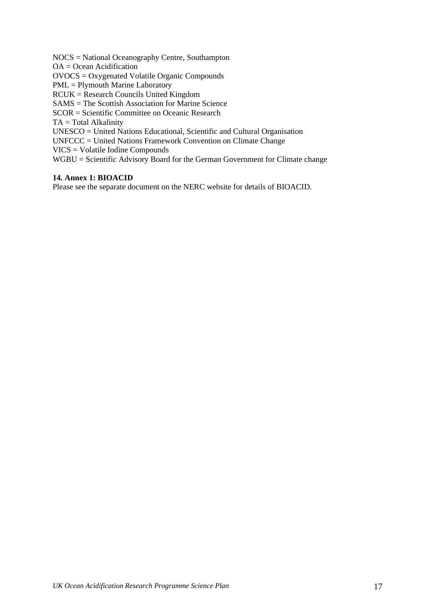NOCS = National Oceanography Centre, Southampton

OA = Ocean Acidification

OVOCS = Oxygenated Volatile Organic Compounds

PML = Plymouth Marine Laboratory

RCUK = Research Councils United Kingdom

SAMS = The Scottish Association for Marine Science

SCOR = Scientific Committee on Oceanic Research

TA = Total Alkalinity

UNESCO = United Nations Educational, Scientific and Cultural Organisation

UNFCCC = United Nations Framework Convention on Climate Change

VICS = Volatile Iodine Compounds

WGBU = Scientific Advisory Board for the German Government for Climate change

#### **14. Annex 1: BIOACID**

Please see the separate document on the NERC website for details of BIOACID.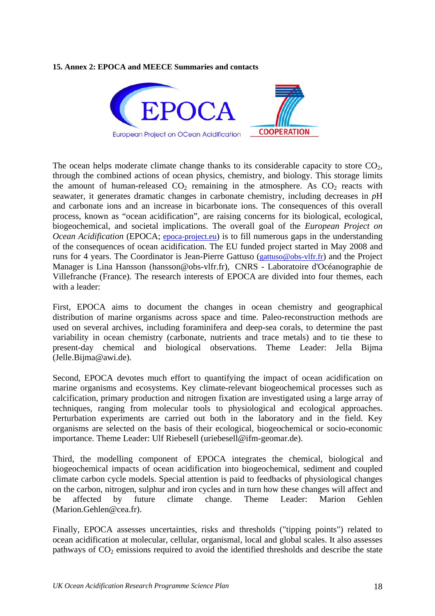#### **15. Annex 2: EPOCA and MEECE Summaries and contacts**



The ocean helps moderate climate change thanks to its considerable capacity to store  $CO<sub>2</sub>$ , through the combined actions of ocean physics, chemistry, and biology. This storage limits the amount of human-released  $CO<sub>2</sub>$  remaining in the atmosphere. As  $CO<sub>2</sub>$  reacts with seawater, it generates dramatic changes in carbonate chemistry, including decreases in *p*H and carbonate ions and an increase in bicarbonate ions. The consequences of this overall process, known as "ocean acidification", are raising concerns for its biological, ecological, biogeochemical, and societal implications. The overall goal of the *European Project on Ocean Acidification* (EPOCA; [epoca-project.eu](http://epoca-project.eu/)) is to fill numerous gaps in the understanding of the consequences of ocean acidification. The EU funded project started in May 2008 and runs for 4 years. The Coordinator is Jean-Pierre Gattuso [\(gattuso@obs-vlfr.fr\)](mailto:gattuso@obs-vlfr.fr) and the Project Manager is Lina Hansson (hansson@obs-vlfr.fr), CNRS - Laboratoire d'Océanographie de Villefranche (France). The research interests of EPOCA are divided into four themes, each with a leader:

First, EPOCA aims to document the changes in ocean chemistry and geographical distribution of marine organisms across space and time. Paleo-reconstruction methods are used on several archives, including foraminifera and deep-sea corals, to determine the past variability in ocean chemistry (carbonate, nutrients and trace metals) and to tie these to present-day chemical and biological observations. Theme Leader: Jella Bijma (Jelle.Bijma@awi.de).

Second, EPOCA devotes much effort to quantifying the impact of ocean acidification on marine organisms and ecosystems. Key climate-relevant biogeochemical processes such as calcification, primary production and nitrogen fixation are investigated using a large array of techniques, ranging from molecular tools to physiological and ecological approaches. Perturbation experiments are carried out both in the laboratory and in the field. Key organisms are selected on the basis of their ecological, biogeochemical or socio-economic importance. Theme Leader: Ulf Riebesell (uriebesell@ifm-geomar.de).

Third, the modelling component of EPOCA integrates the chemical, biological and biogeochemical impacts of ocean acidification into biogeochemical, sediment and coupled climate carbon cycle models. Special attention is paid to feedbacks of physiological changes on the carbon, nitrogen, sulphur and iron cycles and in turn how these changes will affect and be affected by future climate change. Theme Leader: Marion Gehlen (Marion.Gehlen@cea.fr).

Finally, EPOCA assesses uncertainties, risks and thresholds ("tipping points") related to ocean acidification at molecular, cellular, organismal, local and global scales. It also assesses pathways of  $CO<sub>2</sub>$  emissions required to avoid the identified thresholds and describe the state